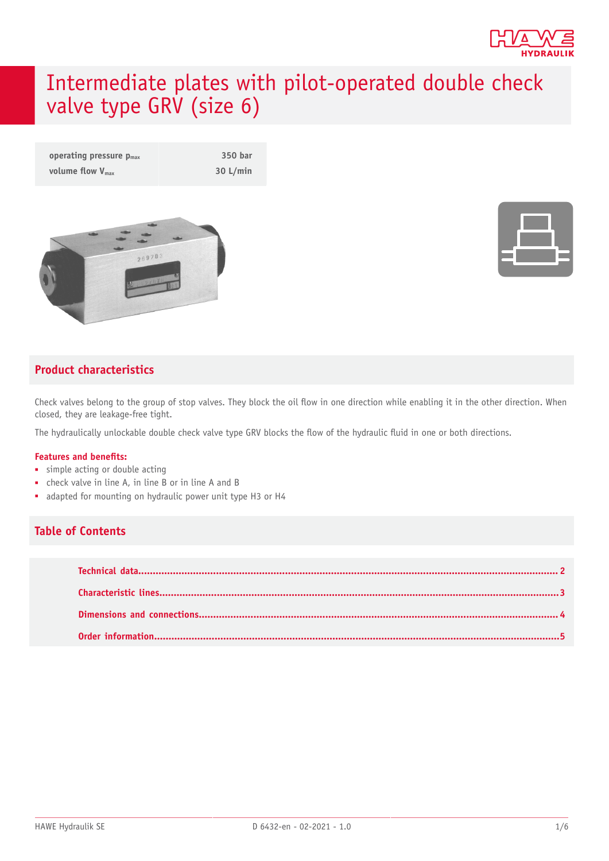

# Intermediate plates with pilot-operated double check valve type GRV (size 6)

| operating pressure $p_{max}$ | 350 bar  |
|------------------------------|----------|
| volume flow $V_{\text{max}}$ | 30 L/min |



### **Product characteristics**

Check valves belong to the group of stop valves. They block the oil flow in one direction while enabling it in the other direction. When closed, they are leakage-free tight.

The hydraulically unlockable double check valve type GRV blocks the flow of the hydraulic fluid in one or both directions.

#### **Features and benets:**

- simple acting or double acting
- check valve in line A, in line B or in line A and B
- adapted for mounting on hydraulic power unit type H3 or H4

#### **Table of Contents**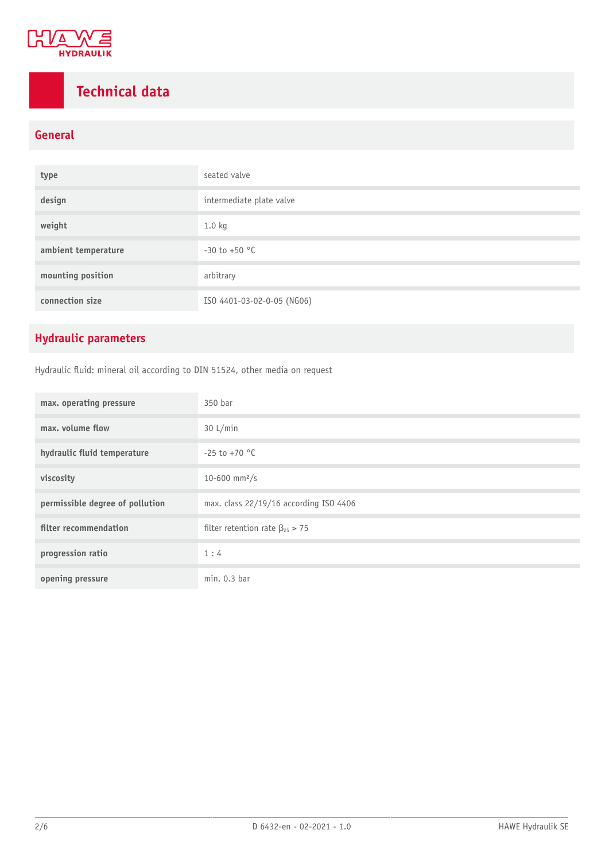

# <span id="page-1-0"></span>**Technical data**

### **General**

| type                | seated valve               |
|---------------------|----------------------------|
| design              | intermediate plate valve   |
| weight              | 1.0 kg                     |
| ambient temperature | $-30$ to $+50$ °C          |
| mounting position   | arbitrary                  |
| connection size     | ISO 4401-03-02-0-05 (NG06) |

### **Hydraulic parameters**

Hydraulic fluid: mineral oil according to DIN 51524, other media on request

| max. operating pressure         | 350 bar                                 |
|---------------------------------|-----------------------------------------|
| max. volume flow                | 30 L/min                                |
| hydraulic fluid temperature     | $-25$ to $+70$ °C                       |
| viscosity                       | 10-600 mm <sup>2</sup> /s               |
| permissible degree of pollution | max. class 22/19/16 according ISO 4406  |
| filter recommendation           | filter retention rate $\beta_{25} > 75$ |
| progression ratio               | 1:4                                     |
| opening pressure                | min. 0.3 bar                            |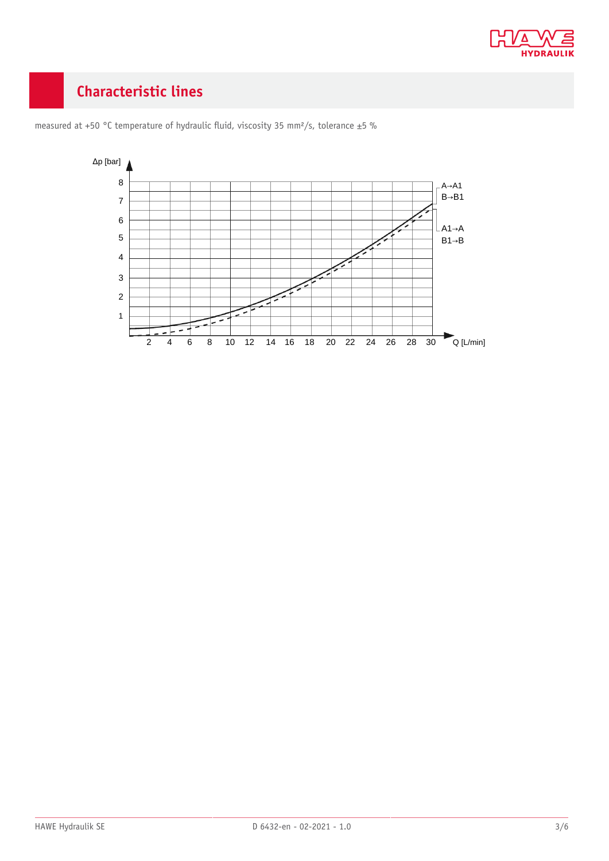

# <span id="page-2-0"></span>**Characteristic lines**



measured at +50 °C temperature of hydraulic fluid, viscosity 35 mm<sup>2</sup>/s, tolerance ±5 %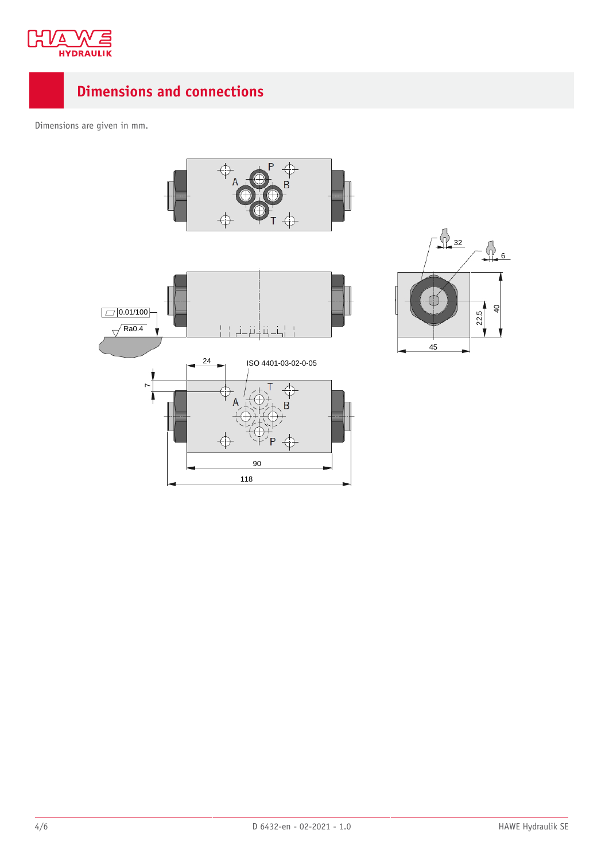

### <span id="page-3-0"></span>**Dimensions and connections**

Dimensions are given in mm.



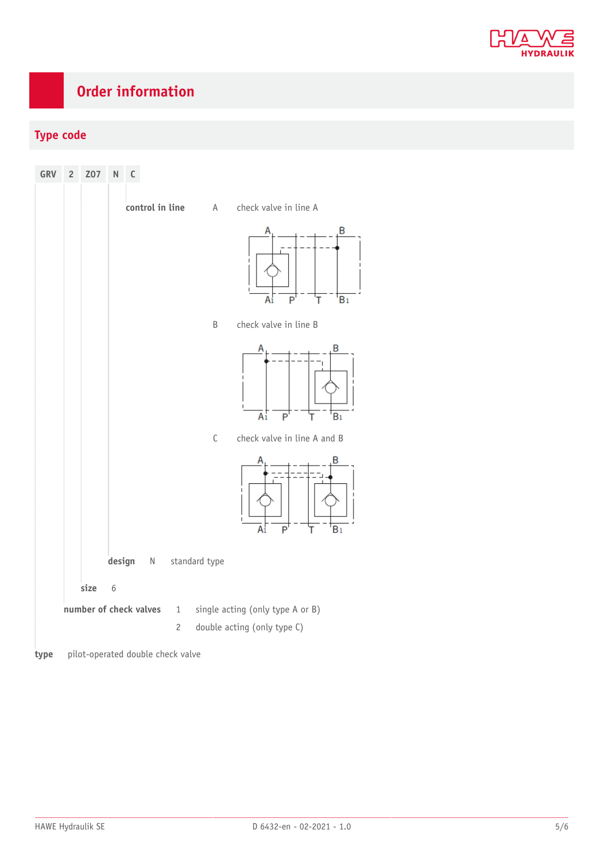

# <span id="page-4-0"></span>**Order information**

### **Type code**



**type** pilot-operated double check valve